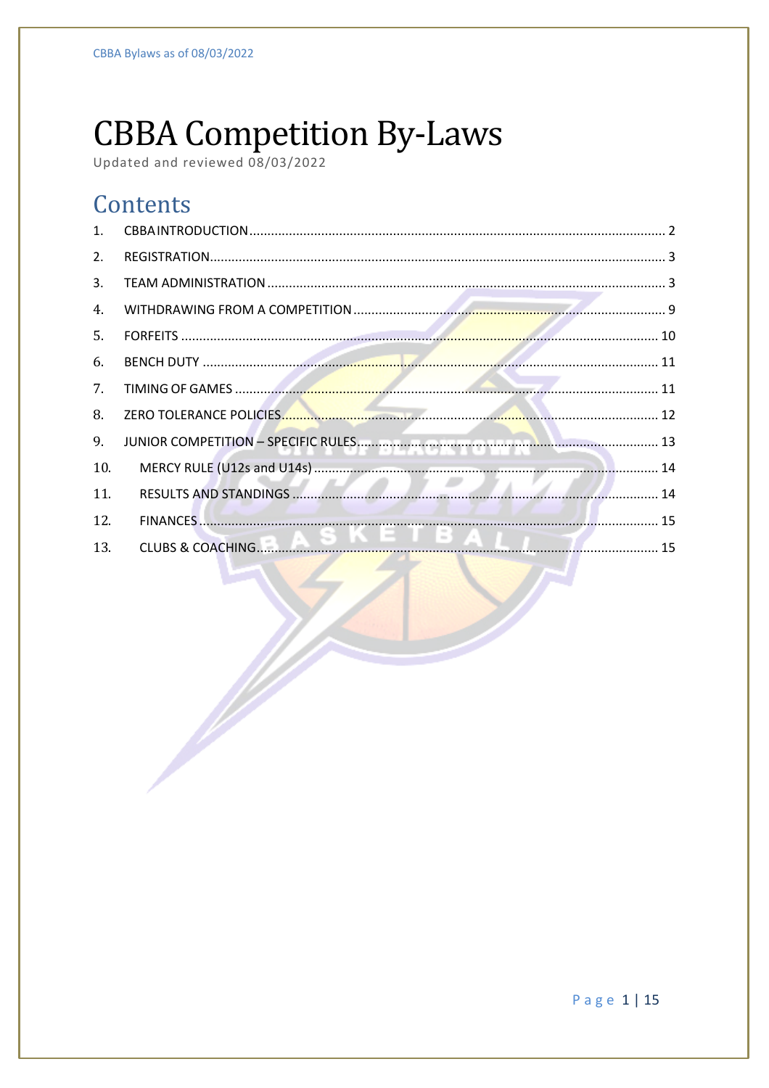# **CBBA Competition By-Laws**

**September 1986** 

# Contents

| 1 <sup>1</sup> |  |
|----------------|--|
| 2.             |  |
| 3.             |  |
| 4.             |  |
| 5.             |  |
| 6.             |  |
| 7.             |  |
| 8.             |  |
| 9.             |  |
| 10.            |  |
| 11.            |  |
| 12.            |  |
| 13.            |  |

Page 1 | 15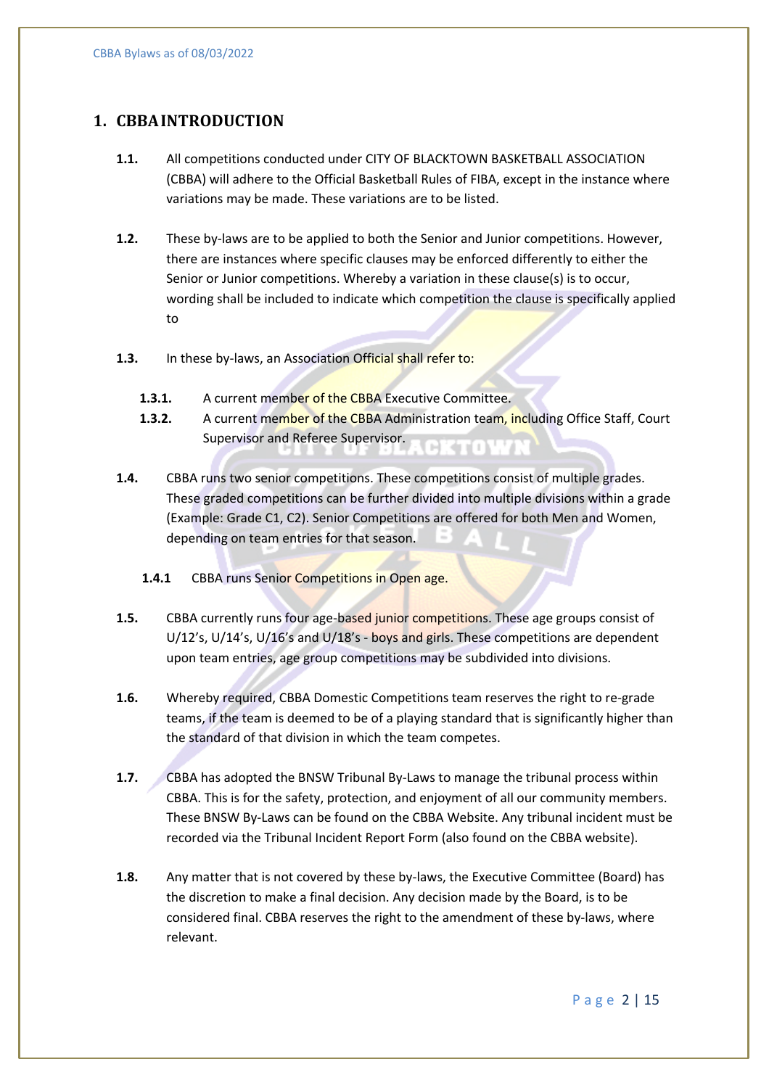# **1. CBBAINTRODUCTION**

- **1.1.** All competitions conducted under CITY OF BLACKTOWN BASKETBALL ASSOCIATION (CBBA) will adhere to the Official Basketball Rules of FIBA, except in the instance where variations may be made. These variations are to be listed.
- **1.2.** These by-laws are to be applied to both the Senior and Junior competitions. However, there are instances where specific clauses may be enforced differently to either the Senior or Junior competitions. Whereby a variation in these clause(s) is to occur, wording shall be included to indicate which competition the clause is specifically applied to
- 1.3. In these by-laws, an Association Official shall refer to:
	- **1.3.1.** A current member of the CBBA Executive Committee.
	- **1.3.2.** A current member of the CBBA Administration team, including Office Staff, Court Supervisor and Referee Supervisor. 3TOWA
- **1.4.** CBBA runs two senior competitions. These competitions consist of multiple grades. These graded competitions can be further divided into multiple divisions within a grade (Example: Grade C1, C2). Senior Competitions are offered for both Men and Women, depending on team entries for that season.
	- 1.4.1 CBBA runs Senior Competitions in Open age.
- **1.5.** CBBA currently runs four age-based junior competitions. These age groups consist of U/12's, U/14's, U/16's and U/18's - boys and girls. These competitions are dependent upon team entries, age group competitions may be subdivided into divisions.
- **1.6.** Whereby required, CBBA Domestic Competitions team reserves the right to re-grade teams, if the team is deemed to be of a playing standard that is significantly higher than the standard of that division in which the team competes.
- **1.7.** CBBA has adopted the BNSW Tribunal By-Laws to manage the tribunal process within CBBA. This is for the safety, protection, and enjoyment of all our community members. These BNSW By-Laws can be found on the CBBA Website. Any tribunal incident must be recorded via the Tribunal Incident Report Form (also found on the CBBA website).
- **1.8.** Any matter that is not covered by these by-laws, the Executive Committee (Board) has the discretion to make a final decision. Any decision made by the Board, is to be considered final. CBBA reserves the right to the amendment of these by-laws, where relevant.

Page 2 | 15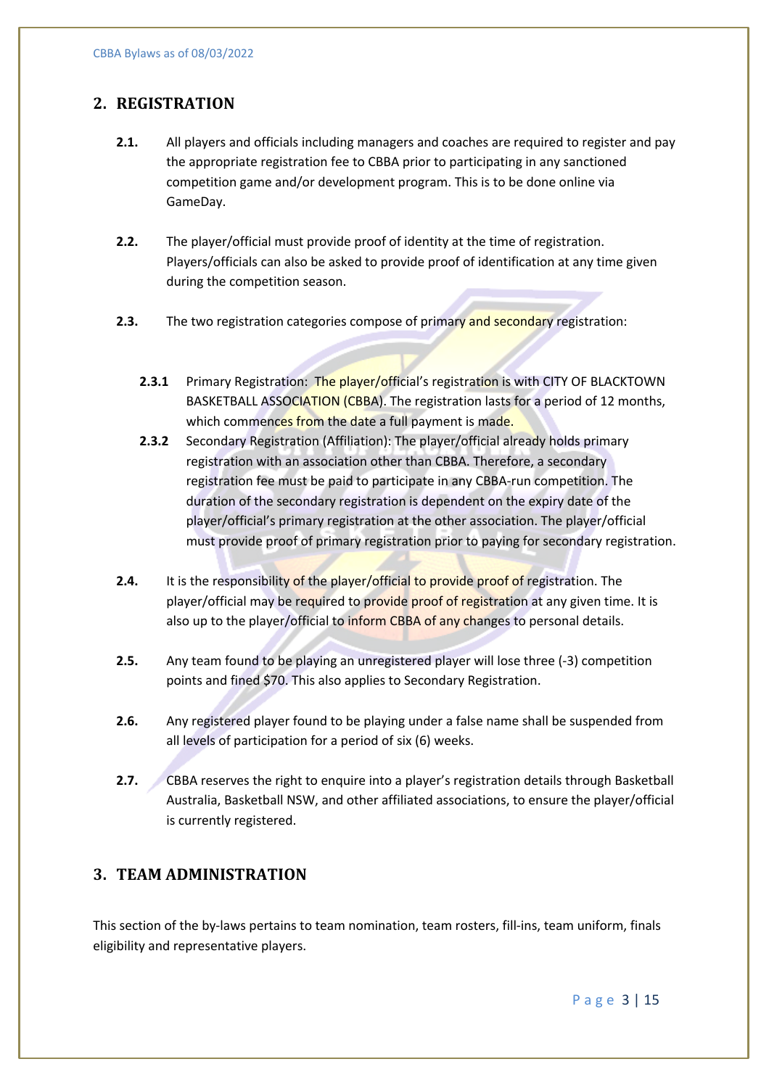# **2. REGISTRATION**

- **2.1.** All players and officials including managers and coaches are required to register and pay the appropriate registration fee to CBBA prior to participating in any sanctioned competition game and/or development program. This is to be done online via GameDay.
- **2.2.** The player/official must provide proof of identity at the time of registration. Players/officials can also be asked to provide proof of identification at any time given during the competition season.
- **2.3.** The two registration categories compose of primary and secondary registration:
	- 2.3.1 Primary Registration: The player/official's registration is with CITY OF BLACKTOWN BASKETBALL ASSOCIATION (CBBA). The registration lasts for a period of 12 months, which commences from the date a full payment is made.
	- **2.3.2** Secondary Registration (Affiliation): The player/official already holds primary registration with an association other than CBBA. Therefore, a secondary registration fee must be paid to participate in any CBBA-run competition. The duration of the secondary registration is dependent on the expiry date of the player/official's primary registration at the other association. The player/official must provide proof of primary registration prior to paying for secondary registration.
- **2.4.** It is the responsibility of the player/official to provide proof of registration. The player/official may be required to provide proof of registration at any given time. It is also up to the player/official to inform CBBA of any changes to personal details.
- **2.5.** Any team found to be playing an unregistered player will lose three (-3) competition points and fined \$70. This also applies to Secondary Registration.
- **2.6.** Any registered player found to be playing under a false name shall be suspended from all levels of participation for a period of six (6) weeks.
- **2.7.** CBBA reserves the right to enquire into a player's registration details through Basketball Australia, Basketball NSW, and other affiliated associations, to ensure the player/official is currently registered.

# **3. TEAM ADMINISTRATION**

This section of the by-laws pertains to team nomination, team rosters, fill-ins, team uniform, finals eligibility and representative players.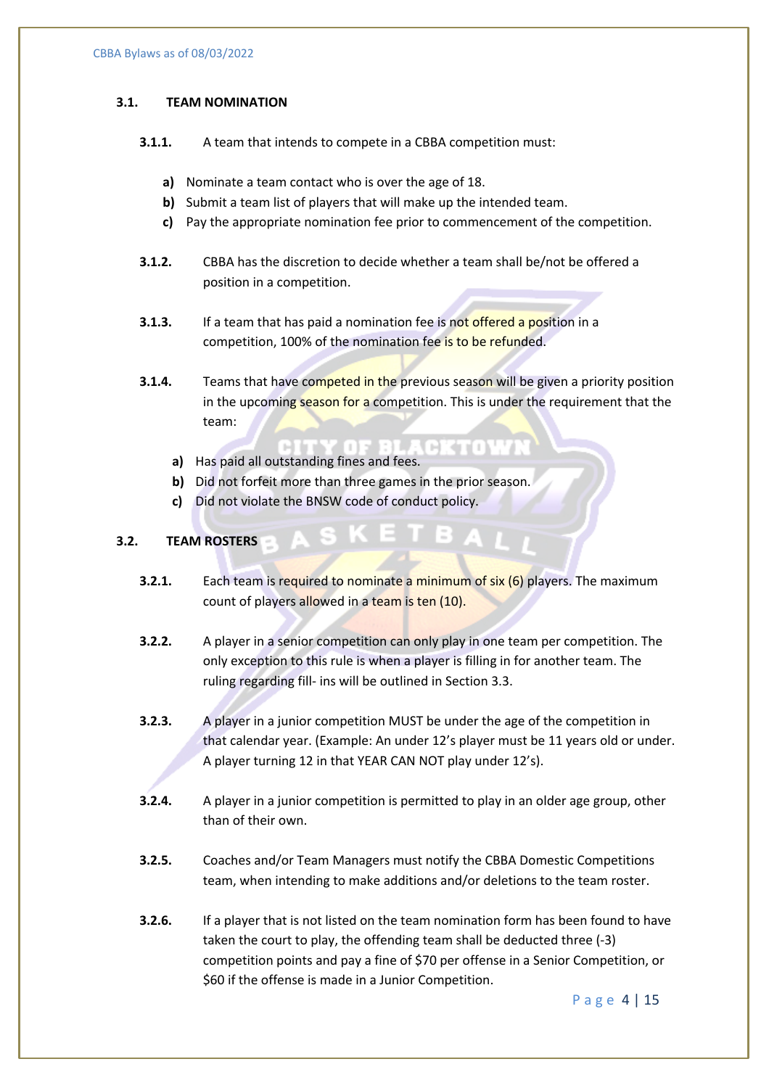#### **3.1. TEAM NOMINATION**

- **3.1.1.** A team that intends to compete in a CBBA competition must:
	- **a)** Nominate a team contact who is over the age of 18.
	- **b)** Submit a team list of players that will make up the intended team.
	- **c)** Pay the appropriate nomination fee prior to commencement of the competition.
- **3.1.2.** CBBA has the discretion to decide whether a team shall be/not be offered a position in a competition.
- **3.1.3.** If a team that has paid a nomination fee is not offered a position in a competition, 100% of the nomination fee is to be refunded.
- **3.1.4.** Teams that have competed in the previous season will be given a priority position in the upcoming season for a competition. This is under the requirement that the team:

BRITANYA

- **a)** Has paid all outstanding fines and fees.
- **b)** Did not forfeit more than three games in the prior season.
- **c)** Did not violate the BNSW code of conduct policy.

#### **3.2. TEAM ROSTERS**

- **3.2.1.** Each team is required to nominate a minimum of six (6) players. The maximum count of players allowed in a team is ten (10).
- **3.2.2.** A player in a senior competition can only play in one team per competition. The only exception to this rule is when a player is filling in for another team. The ruling regarding fill- ins will be outlined in Section 3.3.
- **3.2.3.** A player in a junior competition MUST be under the age of the competition in that calendar year. (Example: An under 12's player must be 11 years old or under. A player turning 12 in that YEAR CAN NOT play under 12's).
- **3.2.4.** A player in a junior competition is permitted to play in an older age group, other than of their own.
- **3.2.5.** Coaches and/or Team Managers must notify the CBBA Domestic Competitions team, when intending to make additions and/or deletions to the team roster.
- **3.2.6.** If a player that is not listed on the team nomination form has been found to have taken the court to play, the offending team shall be deducted three (-3) competition points and pay a fine of \$70 per offense in a Senior Competition, or \$60 if the offense is made in a Junior Competition.

Page 4 | 15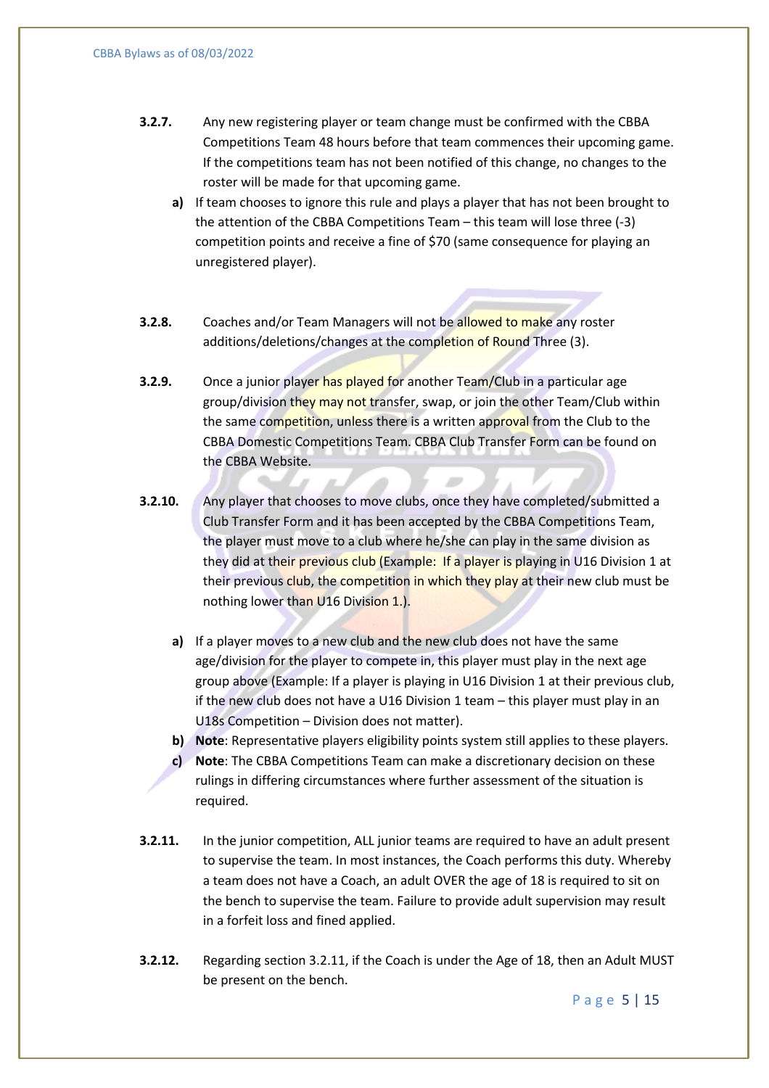- **3.2.7.** Any new registering player or team change must be confirmed with the CBBA Competitions Team 48 hours before that team commences their upcoming game. If the competitions team has not been notified of this change, no changes to the roster will be made for that upcoming game.
	- **a)** If team chooses to ignore this rule and plays a player that has not been brought to the attention of the CBBA Competitions Team – this team will lose three (-3) competition points and receive a fine of \$70 (same consequence for playing an unregistered player).
- **3.2.8.** Coaches and/or Team Managers will not be allowed to make any roster additions/deletions/changes at the completion of Round Three (3).
- **3.2.9.** Once a junior player has played for another Team/Club in a particular age group/division they may not transfer, swap, or join the other Team/Club within the same competition, unless there is a written approval from the Club to the CBBA Domestic Competitions Team. CBBA Club Transfer Form can be found on the CBBA Website.
- **3.2.10.** Any player that chooses to move clubs, once they have completed/submitted a Club Transfer Form and it has been accepted by the CBBA Competitions Team, the player must move to a club where he/she can play in the same division as they did at their previous club (Example: If a player is playing in U16 Division 1 at their previous club, the competition in which they play at their new club must be nothing lower than U16 Division 1.).
	- **a)** If a player moves to a new club and the new club does not have the same age/division for the player to compete in, this player must play in the next age group above (Example: If a player is playing in U16 Division 1 at their previous club, if the new club does not have a U16 Division 1 team – this player must play in an U18s Competition – Division does not matter).
	- **b) Note**: Representative players eligibility points system still applies to these players.
	- **c) Note**: The CBBA Competitions Team can make a discretionary decision on these rulings in differing circumstances where further assessment of the situation is required.
- **3.2.11.** In the junior competition, ALL junior teams are required to have an adult present to supervise the team. In most instances, the Coach performs this duty. Whereby a team does not have a Coach, an adult OVER the age of 18 is required to sit on the bench to supervise the team. Failure to provide adult supervision may result in a forfeit loss and fined applied.
- **3.2.12.** Regarding section 3.2.11, if the Coach is under the Age of 18, then an Adult MUST be present on the bench.

Page 5 | 15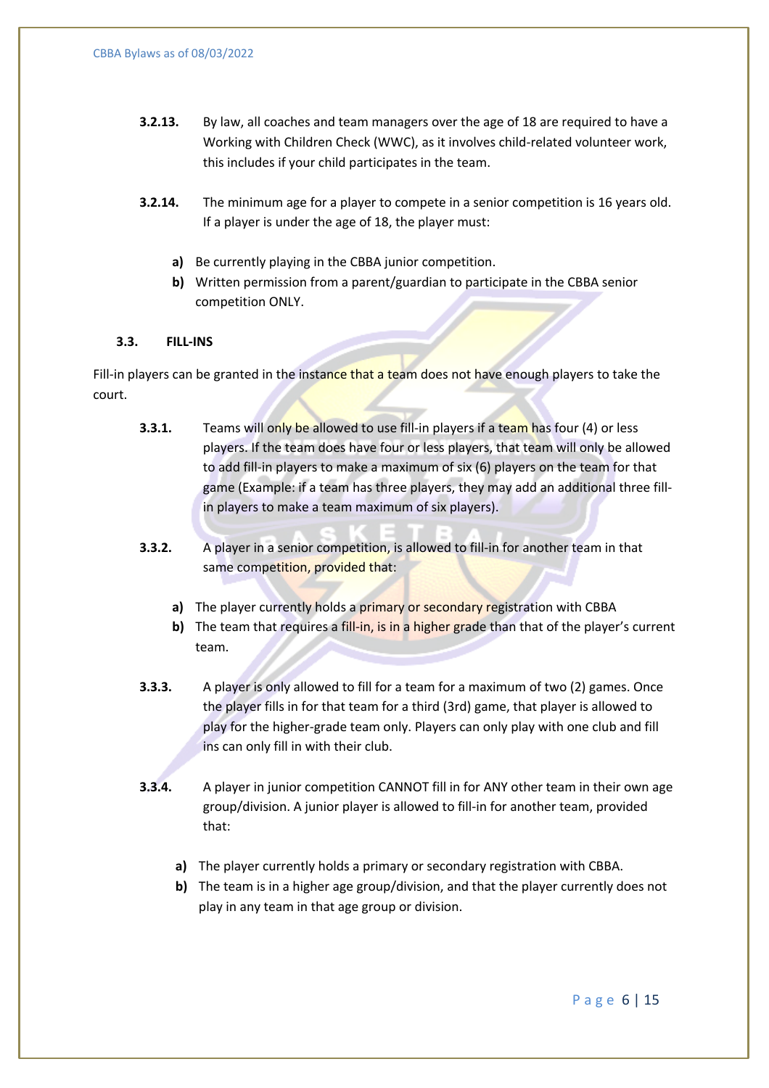- **3.2.13.** By law, all coaches and team managers over the age of 18 are required to have a Working with Children Check (WWC), as it involves child-related volunteer work, this includes if your child participates in the team.
- **3.2.14.** The minimum age for a player to compete in a senior competition is 16 years old. If a player is under the age of 18, the player must:
	- **a)** Be currently playing in the CBBA junior competition.
	- **b)** Written permission from a parent/guardian to participate in the CBBA senior competition ONLY.

#### **3.3. FILL-INS**

Fill-in players can be granted in the instance that a team does not have enough players to take the court.

- **3.3.1.** Teams will only be allowed to use fill-in players if a team has four (4) or less players. If the team does have four or less players, that team will only be allowed to add fill-in players to make a maximum of six (6) players on the team for that game (Example: if a team has three players, they may add an additional three fillin players to make a team maximum of six players).
- **3.3.2.** A player in a senior competition, is allowed to fill-in for another team in that same competition, provided that:
	- **a)** The player currently holds a primary or secondary registration with CBBA
	- **b)** The team that requires a fill-in, is in a higher grade than that of the player's current team.
- **3.3.3.** A player is only allowed to fill for a team for a maximum of two (2) games. Once the player fills in for that team for a third (3rd) game, that player is allowed to play for the higher-grade team only. Players can only play with one club and fill ins can only fill in with their club.
- **3.3.4.** A player in junior competition CANNOT fill in for ANY other team in their own age group/division. A junior player is allowed to fill-in for another team, provided that:
	- **a)** The player currently holds a primary or secondary registration with CBBA.
	- **b)** The team is in a higher age group/division, and that the player currently does not play in any team in that age group or division.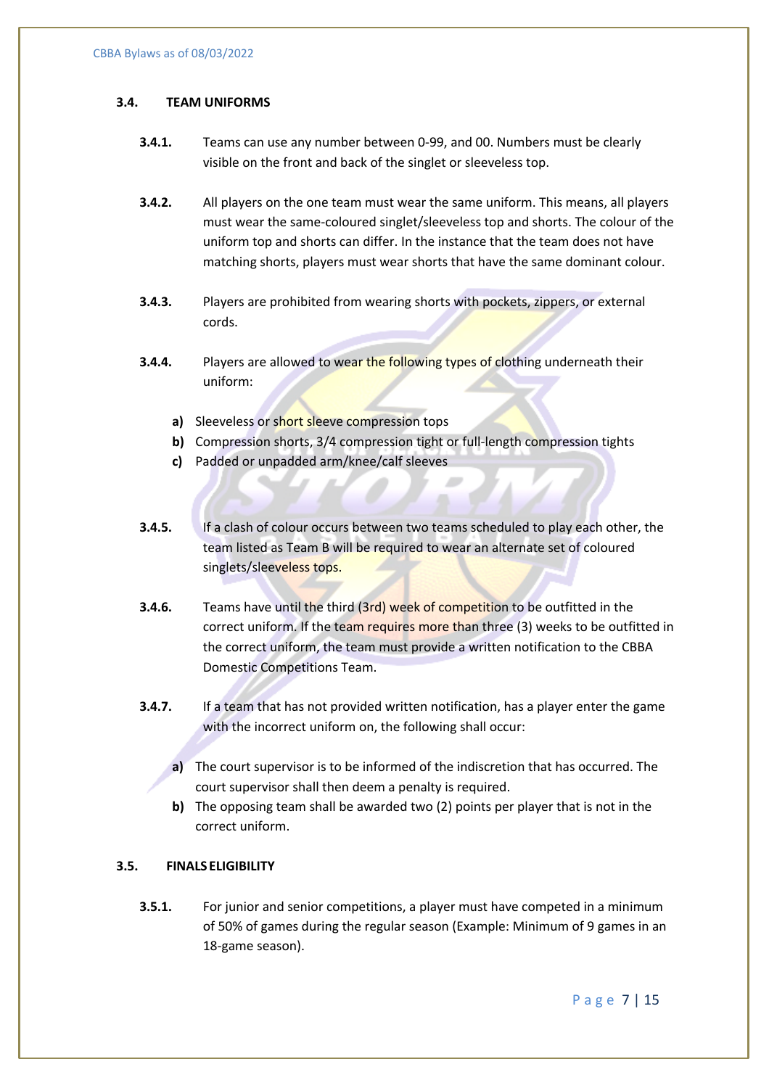#### **3.4. TEAM UNIFORMS**

- **3.4.1.** Teams can use any number between 0-99, and 00. Numbers must be clearly visible on the front and back of the singlet or sleeveless top.
- **3.4.2.** All players on the one team must wear the same uniform. This means, all players must wear the same-coloured singlet/sleeveless top and shorts. The colour of the uniform top and shorts can differ. In the instance that the team does not have matching shorts, players must wear shorts that have the same dominant colour.
- **3.4.3.** Players are prohibited from wearing shorts with pockets, zippers, or external cords.
- **3.4.4.** Players are allowed to wear the following types of clothing underneath their uniform:
	- **a)** Sleeveless or short sleeve compression tops
	- **b)** Compression shorts, 3/4 compression tight or full-length compression tights
	- **c)** Padded or unpadded arm/knee/calf sleeves
- **3.4.5.** If a clash of colour occurs between two teams scheduled to play each other, the team listed as Team B will be required to wear an alternate set of coloured singlets/sleeveless tops.
- **3.4.6.** Teams have until the third (3rd) week of competition to be outfitted in the correct uniform. If the team requires more than three (3) weeks to be outfitted in the correct uniform, the team must provide a written notification to the CBBA Domestic Competitions Team.
- **3.4.7.** If a team that has not provided written notification, has a player enter the game with the incorrect uniform on, the following shall occur:
	- **a)** The court supervisor is to be informed of the indiscretion that has occurred. The court supervisor shall then deem a penalty is required.
	- **b)** The opposing team shall be awarded two (2) points per player that is not in the correct uniform.

#### **3.5. FINALS ELIGIBILITY**

**3.5.1.** For junior and senior competitions, a player must have competed in a minimum of 50% of games during the regular season (Example: Minimum of 9 games in an 18-game season).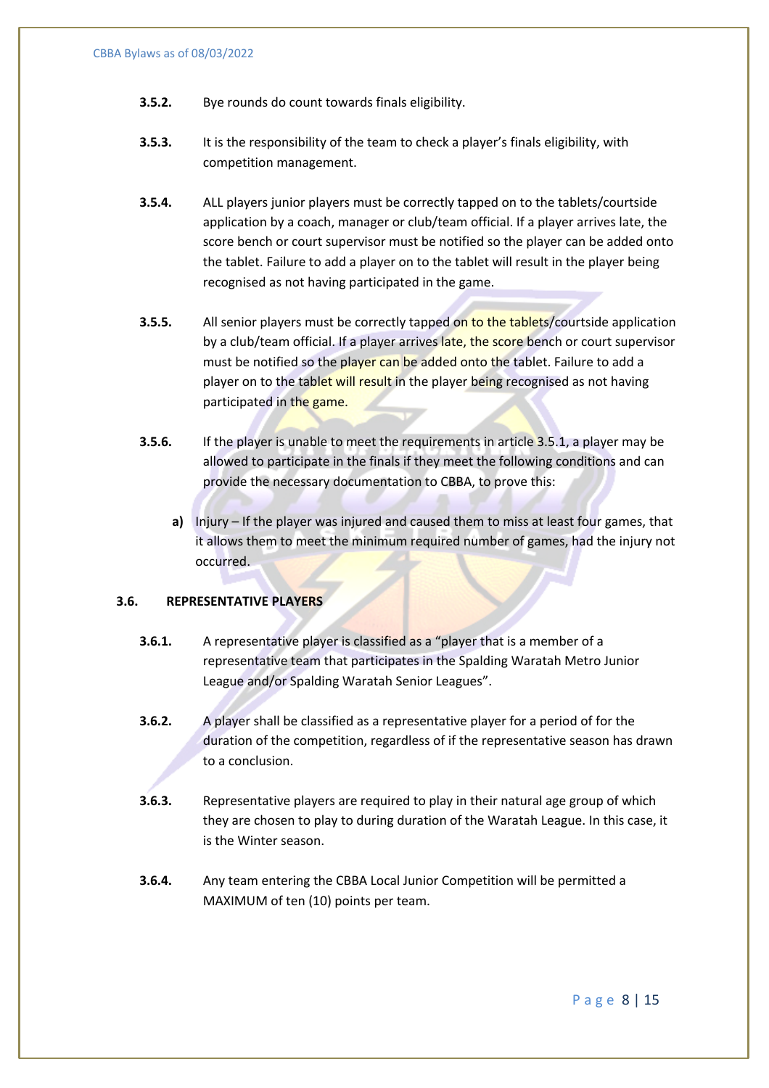- **3.5.2.** Bye rounds do count towards finals eligibility.
- **3.5.3.** It is the responsibility of the team to check a player's finals eligibility, with competition management.
- **3.5.4.** ALL players junior players must be correctly tapped on to the tablets/courtside application by a coach, manager or club/team official. If a player arrives late, the score bench or court supervisor must be notified so the player can be added onto the tablet. Failure to add a player on to the tablet will result in the player being recognised as not having participated in the game.
- **3.5.5.** All senior players must be correctly tapped on to the tablets/courtside application by a club/team official. If a player arrives late, the score bench or court supervisor must be notified so the player can be added onto the tablet. Failure to add a player on to the tablet will result in the player being recognised as not having participated in the game.
- **3.5.6.** If the player is unable to meet the requirements in article 3.5.1, a player may be allowed to participate in the finals if they meet the following conditions and can provide the necessary documentation to CBBA, to prove this:
	- **a)** Injury If the player was injured and caused them to miss at least four games, that it allows them to meet the minimum required number of games, had the injury not occurred.

#### **3.6. REPRESENTATIVE PLAYERS**

- **3.6.1.** A representative player is classified as a "player that is a member of a representative team that participates in the Spalding Waratah Metro Junior League and/or Spalding Waratah Senior Leagues".
- **3.6.2.** A player shall be classified as a representative player for a period of for the duration of the competition, regardless of if the representative season has drawn to a conclusion.
- **3.6.3.** Representative players are required to play in their natural age group of which they are chosen to play to during duration of the Waratah League. In this case, it is the Winter season.
- **3.6.4.** Any team entering the CBBA Local Junior Competition will be permitted a MAXIMUM of ten (10) points per team.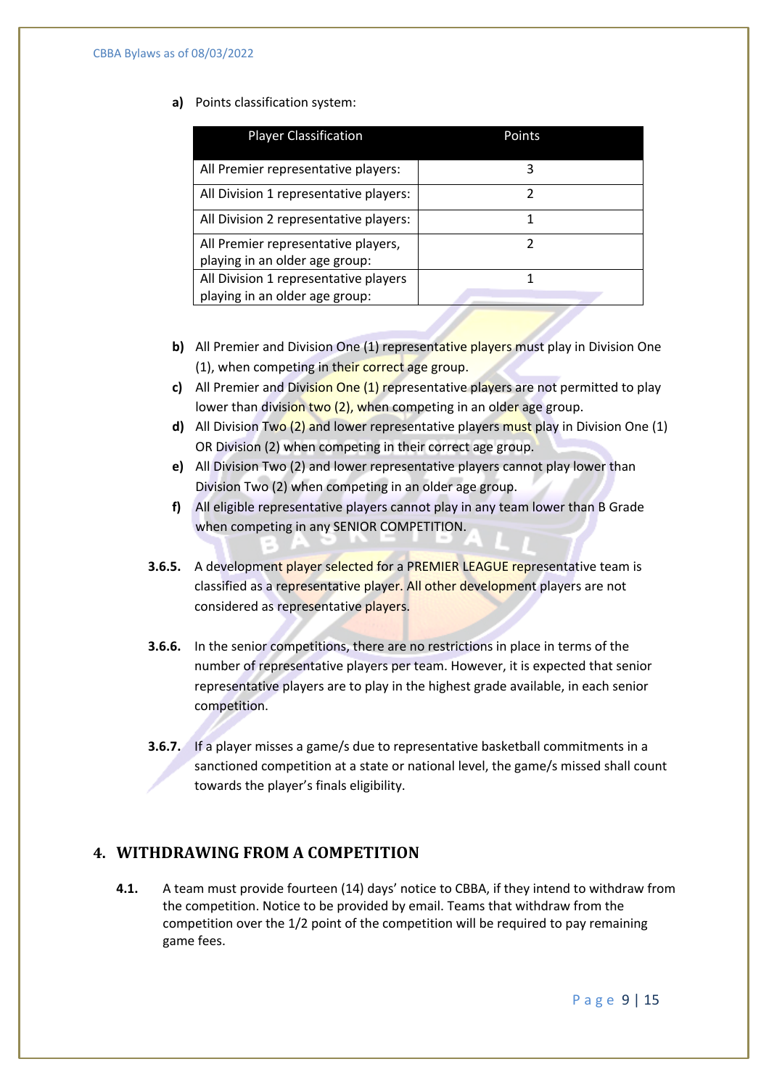#### **a)** Points classification system:

| <b>Player Classification</b>                                          | Points |  |  |
|-----------------------------------------------------------------------|--------|--|--|
| All Premier representative players:                                   | 3      |  |  |
| All Division 1 representative players:                                | 2      |  |  |
| All Division 2 representative players:                                |        |  |  |
| All Premier representative players,<br>playing in an older age group: | 7      |  |  |
| All Division 1 representative players                                 |        |  |  |
| playing in an older age group:                                        |        |  |  |

- **b)** All Premier and Division One (1) representative players must play in Division One (1), when competing in their correct age group.
- **c)** All Premier and Division One (1) representative players are not permitted to play lower than division two (2), when competing in an older age group.
- **d)** All Division Two (2) and lower representative players must play in Division One (1) OR Division (2) when competing in their correct age group.
- **e)** All Division Two (2) and lower representative players cannot play lower than Division Two (2) when competing in an older age group.
- **f)** All eligible representative players cannot play in any team lower than B Grade when competing in any SENIOR COMPETITION.
- **3.6.5.** A development player selected for a PREMIER LEAGUE representative team is classified as a representative player. All other development players are not considered as representative players.
- **3.6.6.** In the senior competitions, there are no restrictions in place in terms of the number of representative players per team. However, it is expected that senior representative players are to play in the highest grade available, in each senior competition.
- **3.6.7.** If a player misses a game/s due to representative basketball commitments in a sanctioned competition at a state or national level, the game/s missed shall count towards the player's finals eligibility.

# **4. WITHDRAWING FROM A COMPETITION**

**4.1.** A team must provide fourteen (14) days' notice to CBBA, if they intend to withdraw from the competition. Notice to be provided by email. Teams that withdraw from the competition over the 1/2 point of the competition will be required to pay remaining game fees.

Page 9 | 15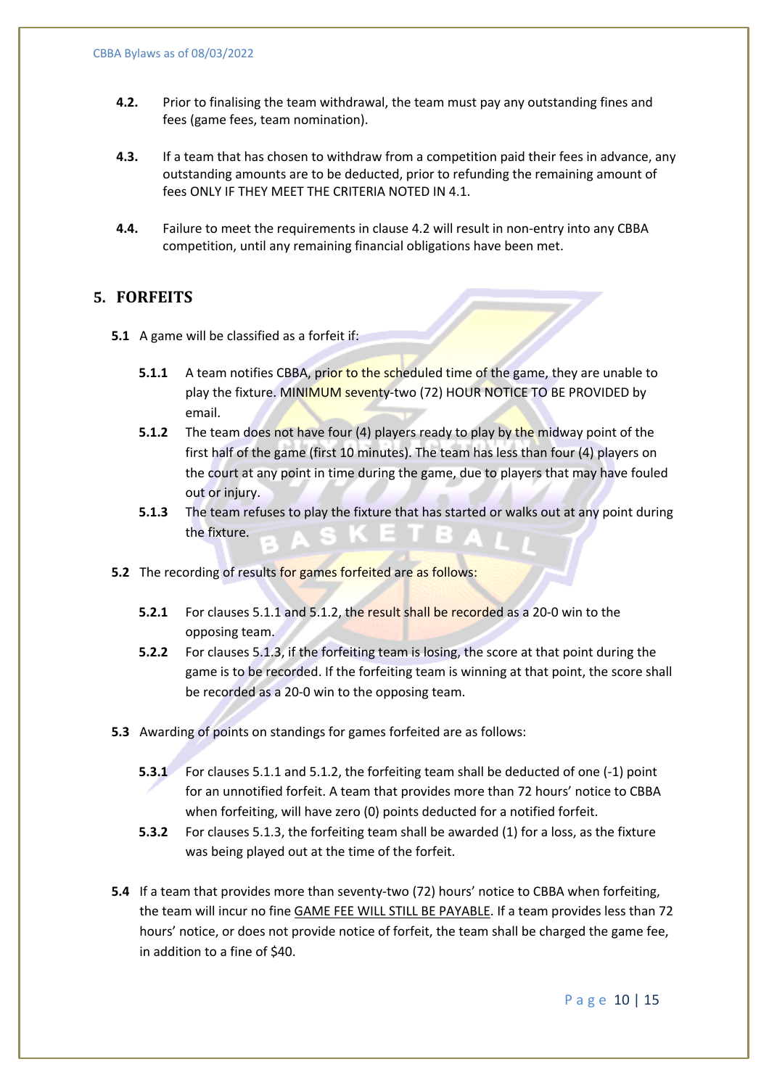- **4.2.** Prior to finalising the team withdrawal, the team must pay any outstanding fines and fees (game fees, team nomination).
- **4.3.** If a team that has chosen to withdraw from a competition paid their fees in advance, any outstanding amounts are to be deducted, prior to refunding the remaining amount of fees ONLY IF THEY MEET THE CRITERIA NOTED IN 4.1.
- **4.4.** Failure to meet the requirements in clause 4.2 will result in non-entry into any CBBA competition, until any remaining financial obligations have been met.

#### **5. FORFEITS**

- **5.1** A game will be classified as a forfeit if:
	- **5.1.1** A team notifies CBBA, prior to the scheduled time of the game, they are unable to play the fixture. MINIMUM seventy-two (72) HOUR NOTICE TO BE PROVIDED by email.
	- **5.1.2** The team does not have four (4) players ready to play by the midway point of the first half of the game (first 10 minutes). The team has less than four (4) players on the court at any point in time during the game, due to players that may have fouled out or injury.
	- **5.1.3** The team refuses to play the fixture that has started or walks out at any point during the fixture.
- **5.2** The recording of results for games forfeited are as follows:
	- **5.2.1** For clauses 5.1.1 and 5.1.2, the result shall be recorded as a 20-0 win to the opposing team.
	- **5.2.2** For clauses 5.1.3, if the forfeiting team is losing, the score at that point during the game is to be recorded. If the forfeiting team is winning at that point, the score shall be recorded as a 20-0 win to the opposing team.
- **5.3** Awarding of points on standings for games forfeited are as follows:
	- **5.3.1** For clauses 5.1.1 and 5.1.2, the forfeiting team shall be deducted of one  $(-1)$  point for an unnotified forfeit. A team that provides more than 72 hours' notice to CBBA when forfeiting, will have zero (0) points deducted for a notified forfeit.
	- **5.3.2** For clauses 5.1.3, the forfeiting team shall be awarded (1) for a loss, as the fixture was being played out at the time of the forfeit.
- **5.4** If a team that provides more than seventy-two (72) hours' notice to CBBA when forfeiting, the team will incur no fine GAME FEE WILL STILL BE PAYABLE. If a team provides less than 72 hours' notice, or does not provide notice of forfeit, the team shall be charged the game fee, in addition to a fine of \$40.

Page 10 | 15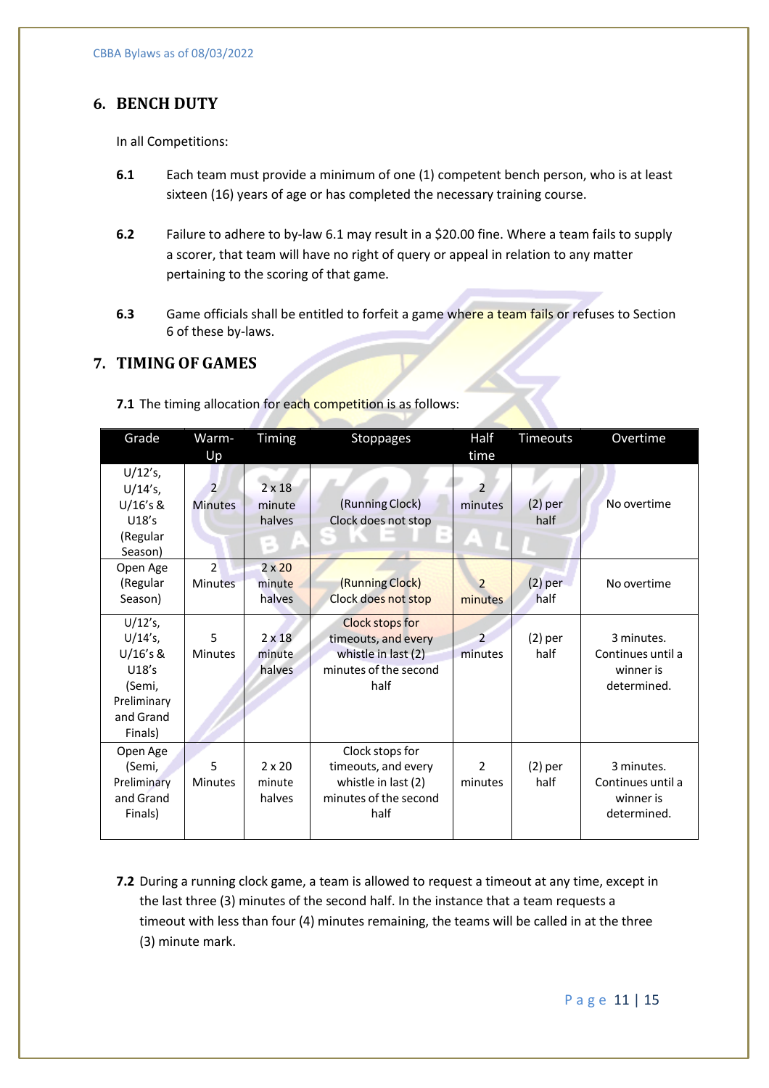# **6. BENCH DUTY**

In all Competitions:

- **6.1** Each team must provide a minimum of one (1) competent bench person, who is at least sixteen (16) years of age or has completed the necessary training course.
- **6.2** Failure to adhere to by-law 6.1 may result in a \$20.00 fine. Where a team fails to supply a scorer, that team will have no right of query or appeal in relation to any matter pertaining to the scoring of that game.
- **6.3** Game officials shall be entitled to forfeit a game where a team fails or refuses to Section 6 of these by-laws.

# **7. TIMING OF GAMES**

| Grade                                                                                          | Warm-<br>Up                      | Timing                                           | <b>Stoppages</b>                                                                                              | Half<br>time                        | Timeouts          | Overtime                                                    |
|------------------------------------------------------------------------------------------------|----------------------------------|--------------------------------------------------|---------------------------------------------------------------------------------------------------------------|-------------------------------------|-------------------|-------------------------------------------------------------|
| $U/12's$ ,<br>$U/14's$ ,<br>U/16's &<br>U18's<br>(Regular<br>Season)                           | $\overline{2}$<br><b>Minutes</b> | $2 \times 18$<br>minute<br>halves<br>$\sim$<br>÷ | (Running Clock)<br>Clock does not stop<br>$\frac{1}{2} \left( \frac{1}{2} \right) \left( \frac{1}{2} \right)$ | $\overline{\phantom{a}}$<br>minutes | $(2)$ per<br>half | No overtime                                                 |
| Open Age<br>(Regular<br>Season)                                                                | $\mathfrak{p}$<br>Minutes        | $2 \times 20$<br>minute<br>halves                | (Running Clock)<br>Clock does not stop                                                                        | $\overline{2}$<br>minutes           | $(2)$ per<br>half | No overtime                                                 |
| $U/12's$ ,<br>$U/14's$ ,<br>U/16's &<br>U18's<br>(Semi,<br>Preliminary<br>and Grand<br>Finals) | 5<br><b>Minutes</b>              | $2 \times 18$<br>minute<br>halves                | Clock stops for<br>timeouts, and every<br>whistle in last (2)<br>minutes of the second<br>half                | $\overline{2}$<br>minutes           | $(2)$ per<br>half | 3 minutes.<br>Continues until a<br>winner is<br>determined. |
| Open Age<br>(Semi,<br>Preliminary<br>and Grand<br>Finals)                                      | 5<br><b>Minutes</b>              | $2 \times 20$<br>minute<br>halves                | Clock stops for<br>timeouts, and every<br>whistle in last (2)<br>minutes of the second<br>half                | $\overline{2}$<br>minutes           | $(2)$ per<br>half | 3 minutes.<br>Continues until a<br>winner is<br>determined. |

**7.1** The timing allocation for each competition is as follows:

**7.2** During a running clock game, a team is allowed to request a timeout at any time, except in the last three (3) minutes of the second half. In the instance that a team requests a timeout with less than four (4) minutes remaining, the teams will be called in at the three (3) minute mark.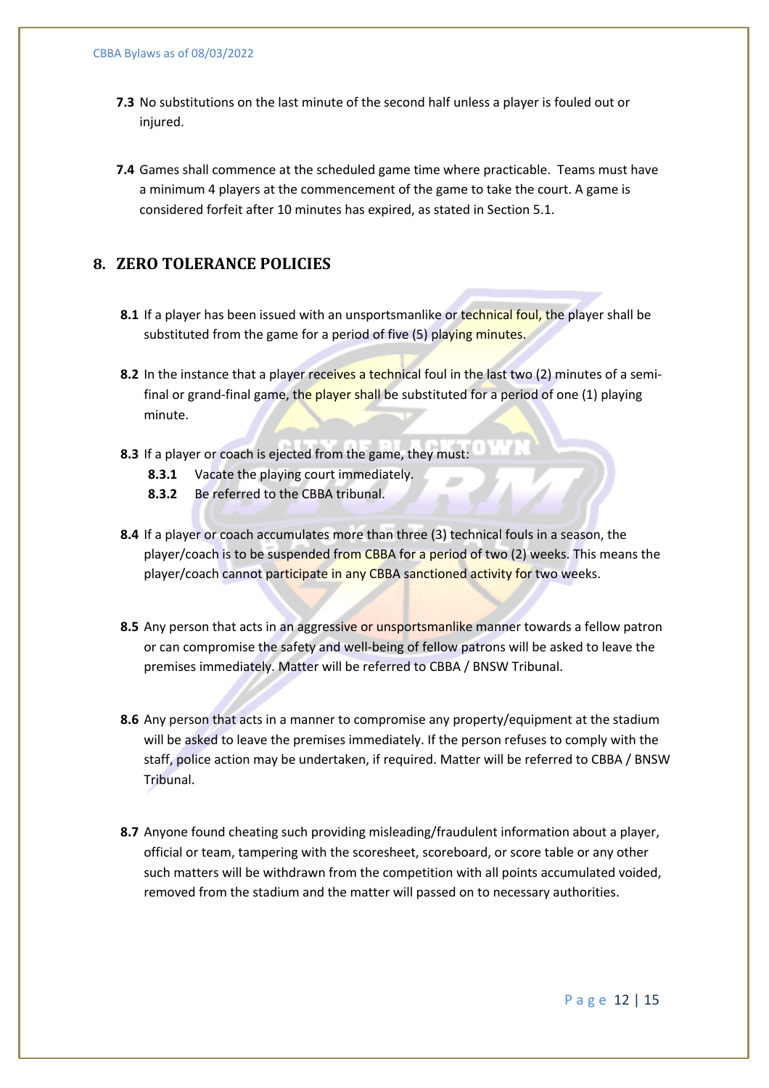- **7.3** No substitutions on the last minute of the second half unless a player is fouled out or injured.
- **7.4** Games shall commence at the scheduled game time where practicable. Teams must have a minimum 4 players at the commencement of the game to take the court. A game is considered forfeit after 10 minutes has expired, as stated in Section 5.1.

# **8. ZERO TOLERANCE POLICIES**

- **8.1** If a player has been issued with an unsportsmanlike or technical foul, the player shall be substituted from the game for a period of five (5) playing minutes.
- **8.2** In the instance that a player receives a technical foul in the last two (2) minutes of a semifinal or grand-final game, the player shall be substituted for a period of one (1) playing minute.
- **8.3** If a player or coach is ejected from the game, they must:
	- **8.3.1** Vacate the playing court immediately.
	- **8.3.2** Be referred to the CBBA tribunal.
- **8.4** If a player or coach accumulates more than three (3) technical fouls in a season, the player/coach is to be suspended from CBBA for a period of two (2) weeks. This means the player/coach cannot participate in any CBBA sanctioned activity for two weeks.
- **8.5** Any person that acts in an aggressive or unsportsmanlike manner towards a fellow patron or can compromise the safety and well-being of fellow patrons will be asked to leave the premises immediately. Matter will be referred to CBBA / BNSW Tribunal.
- **8.6** Any person that acts in a manner to compromise any property/equipment at the stadium will be asked to leave the premises immediately. If the person refuses to comply with the staff, police action may be undertaken, if required. Matter will be referred to CBBA / BNSW Tribunal.
- **8.7** Anyone found cheating such providing misleading/fraudulent information about a player, official or team, tampering with the scoresheet, scoreboard, or score table or any other such matters will be withdrawn from the competition with all points accumulated voided, removed from the stadium and the matter will passed on to necessary authorities.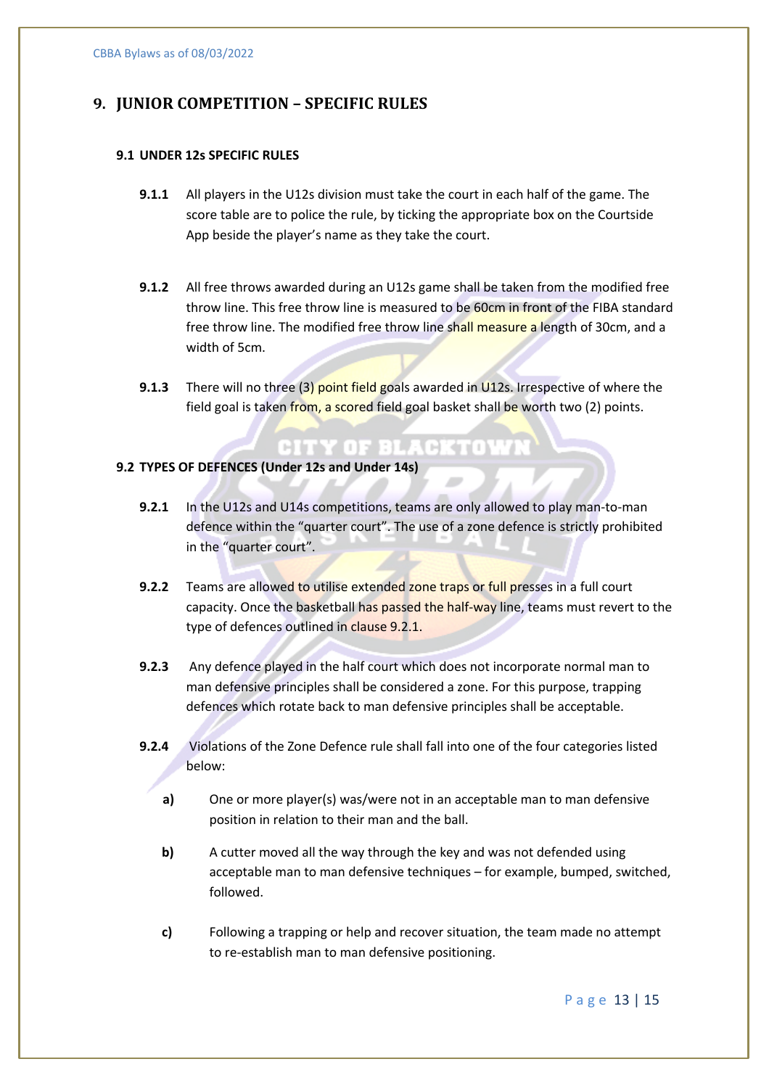# **9. JUNIOR COMPETITION – SPECIFIC RULES**

#### **9.1 UNDER 12s SPECIFIC RULES**

- **9.1.1** All players in the U12s division must take the court in each half of the game. The score table are to police the rule, by ticking the appropriate box on the Courtside App beside the player's name as they take the court.
- **9.1.2** All free throws awarded during an U12s game shall be taken from the modified free throw line. This free throw line is measured to be 60cm in front of the FIBA standard free throw line. The modified free throw line shall measure a length of 30cm, and a width of 5cm.
- **9.1.3** There will no three (3) point field goals awarded in U12s. Irrespective of where the field goal is taken from, a scored field goal basket shall be worth two (2) points.

CITY OF BLACKTOWN

#### **9.2 TYPES OF DEFENCES (Under 12s and Under 14s)**

- **9.2.1** In the U12s and U14s competitions, teams are only allowed to play man-to-man defence within the "quarter court". The use of a zone defence is strictly prohibited in the "quarter court".
- **9.2.2** Teams are allowed to utilise extended zone traps or full presses in a full court capacity. Once the basketball has passed the half-way line, teams must revert to the type of defences outlined in clause 9.2.1.
- **9.2.3** Any defence played in the half court which does not incorporate normal man to man defensive principles shall be considered a zone. For this purpose, trapping defences which rotate back to man defensive principles shall be acceptable.
- **9.2.4** Violations of the Zone Defence rule shall fall into one of the four categories listed below:
	- **a)** One or more player(s) was/were not in an acceptable man to man defensive position in relation to their man and the ball.
	- **b)** A cutter moved all the way through the key and was not defended using acceptable man to man defensive techniques – for example, bumped, switched, followed.
	- **c)** Following a trapping or help and recover situation, the team made no attempt to re-establish man to man defensive positioning.

Page 13 | 15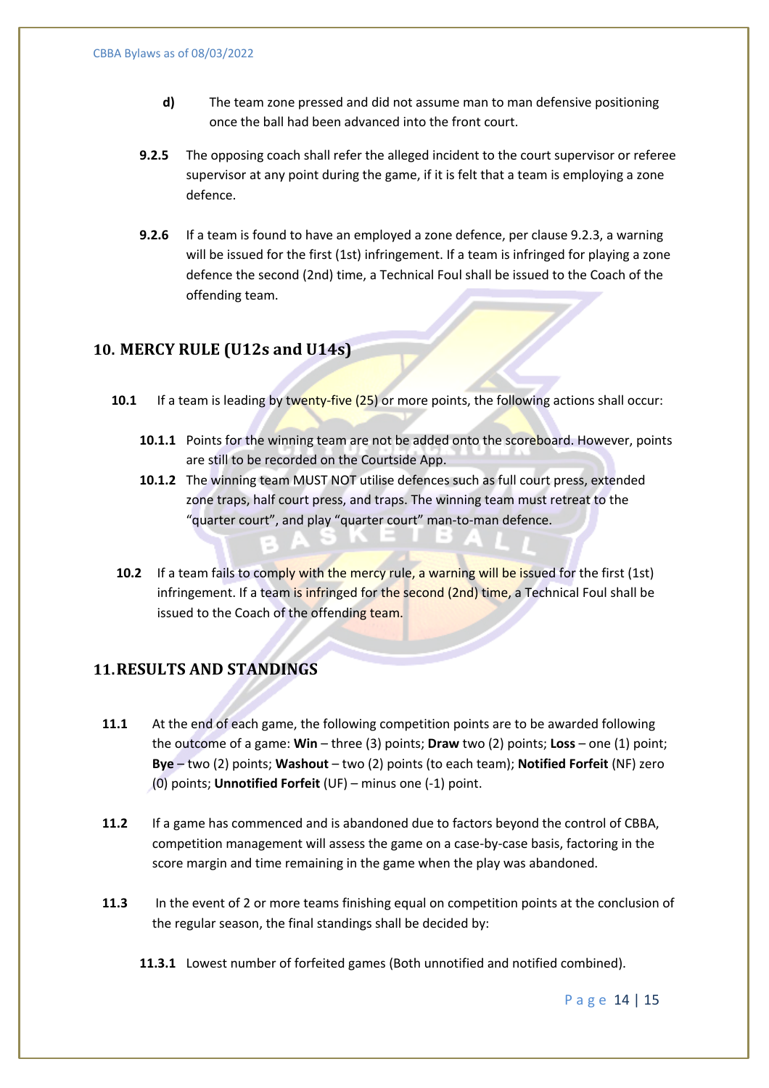- **d)** The team zone pressed and did not assume man to man defensive positioning once the ball had been advanced into the front court.
- **9.2.5** The opposing coach shall refer the alleged incident to the court supervisor or referee supervisor at any point during the game, if it is felt that a team is employing a zone defence.
- **9.2.6** If a team is found to have an employed a zone defence, per clause 9.2.3, a warning will be issued for the first (1st) infringement. If a team is infringed for playing a zone defence the second (2nd) time, a Technical Foul shall be issued to the Coach of the offending team.

#### **10. MERCY RULE (U12s and U14s)**

- **10.1** If a team is leading by twenty-five (25) or more points, the following actions shall occur:
	- **10.1.1** Points for the winning team are not be added onto the scoreboard. However, points are still to be recorded on the Courtside App.
	- **10.1.2** The winning team MUST NOT utilise defences such as full court press, extended zone traps, half court press, and traps. The winning team must retreat to the "quarter court", and play "quarter court" man-to-man defence.
- **10.2** If a team fails to comply with the mercy rule, a warning will be issued for the first (1st) infringement. If a team is infringed for the second (2nd) time, a Technical Foul shall be issued to the Coach of the offending team.

# **11. RESULTS AND STANDINGS**

- **11.1** At the end of each game, the following competition points are to be awarded following the outcome of a game: **Win** – three (3) points; **Draw** two (2) points; **Loss** – one (1) point; **Bye** – two (2) points; **Washout** – two (2) points (to each team); **Notified Forfeit** (NF) zero (0) points; **Unnotified Forfeit** (UF) – minus one (-1) point.
- **11.2** If a game has commenced and is abandoned due to factors beyond the control of CBBA, competition management will assess the game on a case-by-case basis, factoring in the score margin and time remaining in the game when the play was abandoned.
- **11.3** In the event of 2 or more teams finishing equal on competition points at the conclusion of the regular season, the final standings shall be decided by:
	- **11.3.1** Lowest number of forfeited games (Both unnotified and notified combined).

Page 14 | 15